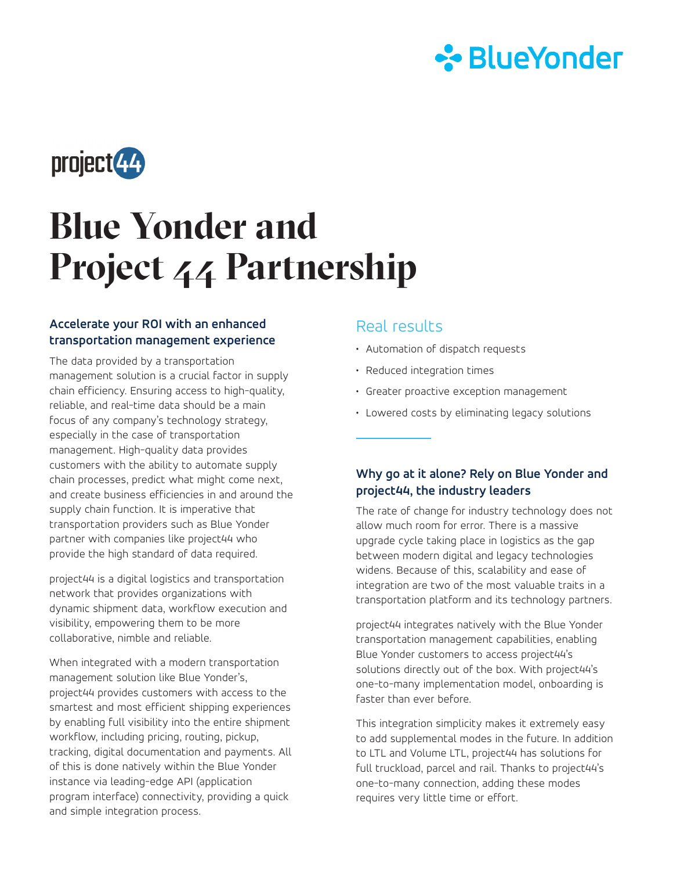



# **Blue Yonder and Project 44 Partnership**

#### **Accelerate your ROI with an enhanced transportation management experience**

The data provided by a transportation management solution is a crucial factor in supply chain efficiency. Ensuring access to high-quality, reliable, and real-time data should be a main focus of any company's technology strategy, especially in the case of transportation management. High-quality data provides customers with the ability to automate supply chain processes, predict what might come next, and create business efficiencies in and around the supply chain function. It is imperative that transportation providers such as Blue Yonder partner with companies like project44 who provide the high standard of data required.

project44 is a digital logistics and transportation network that provides organizations with dynamic shipment data, workflow execution and visibility, empowering them to be more collaborative, nimble and reliable.

When integrated with a modern transportation management solution like Blue Yonder's, project44 provides customers with access to the smartest and most efficient shipping experiences by enabling full visibility into the entire shipment workflow, including pricing, routing, pickup, tracking, digital documentation and payments. All of this is done natively within the Blue Yonder instance via leading-edge API (application program interface) connectivity, providing a quick and simple integration process.

#### Real results

- Automation of dispatch requests
- Reduced integration times
- Greater proactive exception management
- Lowered costs by eliminating legacy solutions

#### **Why go at it alone? Rely on Blue Yonder and project44, the industry leaders**

The rate of change for industry technology does not allow much room for error. There is a massive upgrade cycle taking place in logistics as the gap between modern digital and legacy technologies widens. Because of this, scalability and ease of integration are two of the most valuable traits in a transportation platform and its technology partners.

project44 integrates natively with the Blue Yonder transportation management capabilities, enabling Blue Yonder customers to access project44's solutions directly out of the box. With project44's one-to-many implementation model, onboarding is faster than ever before.

This integration simplicity makes it extremely easy to add supplemental modes in the future. In addition to LTL and Volume LTL, project44 has solutions for full truckload, parcel and rail. Thanks to project44's one-to-many connection, adding these modes requires very little time or effort.